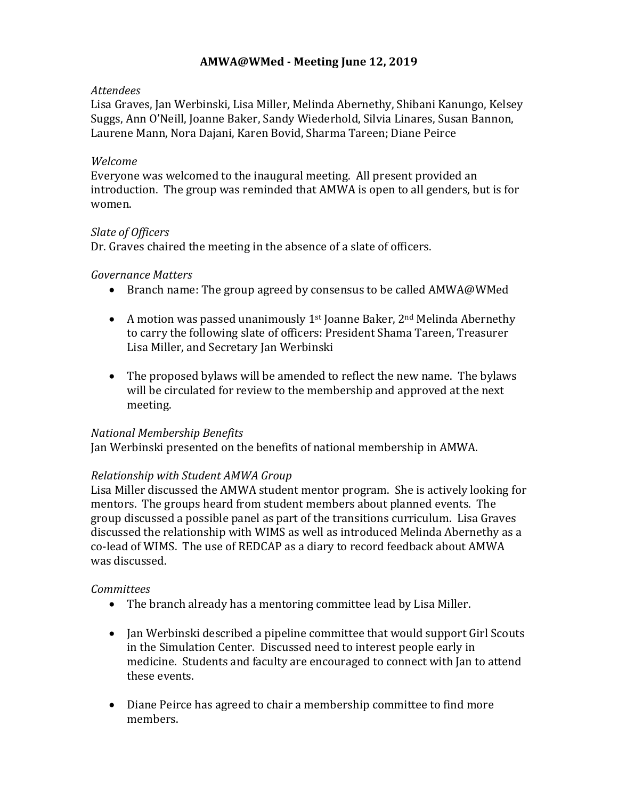# **AMWA@WMed - Meeting June 12, 2019**

#### *Attendees*

Lisa Graves, Jan Werbinski, Lisa Miller, Melinda Abernethy, Shibani Kanungo, Kelsey Suggs, Ann O'Neill, Joanne Baker, Sandy Wiederhold, Silvia Linares, Susan Bannon, Laurene Mann, Nora Dajani, Karen Bovid, Sharma Tareen; Diane Peirce

#### *Welcome*

Everyone was welcomed to the inaugural meeting. All present provided an introduction. The group was reminded that AMWA is open to all genders, but is for women.

## *Slate of Officers*

Dr. Graves chaired the meeting in the absence of a slate of officers.

## *Governance Matters*

- Branch name: The group agreed by consensus to be called AMWA@WMed
- A motion was passed unanimously  $1^{st}$  Joanne Baker,  $2^{nd}$  Melinda Abernethy to carry the following slate of officers: President Shama Tareen, Treasurer Lisa Miller, and Secretary Jan Werbinski
- The proposed bylaws will be amended to reflect the new name. The bylaws will be circulated for review to the membership and approved at the next meeting.

#### *National Membership Benefits*

Jan Werbinski presented on the benefits of national membership in AMWA.

# *Relationship with Student AMWA Group*

Lisa Miller discussed the AMWA student mentor program. She is actively looking for mentors. The groups heard from student members about planned events. The group discussed a possible panel as part of the transitions curriculum. Lisa Graves discussed the relationship with WIMS as well as introduced Melinda Abernethy as a co-lead of WIMS. The use of REDCAP as a diary to record feedback about AMWA was discussed.

# *Committees*

- The branch already has a mentoring committee lead by Lisa Miller.
- Jan Werbinski described a pipeline committee that would support Girl Scouts in the Simulation Center. Discussed need to interest people early in medicine. Students and faculty are encouraged to connect with Jan to attend these events.
- Diane Peirce has agreed to chair a membership committee to find more members.